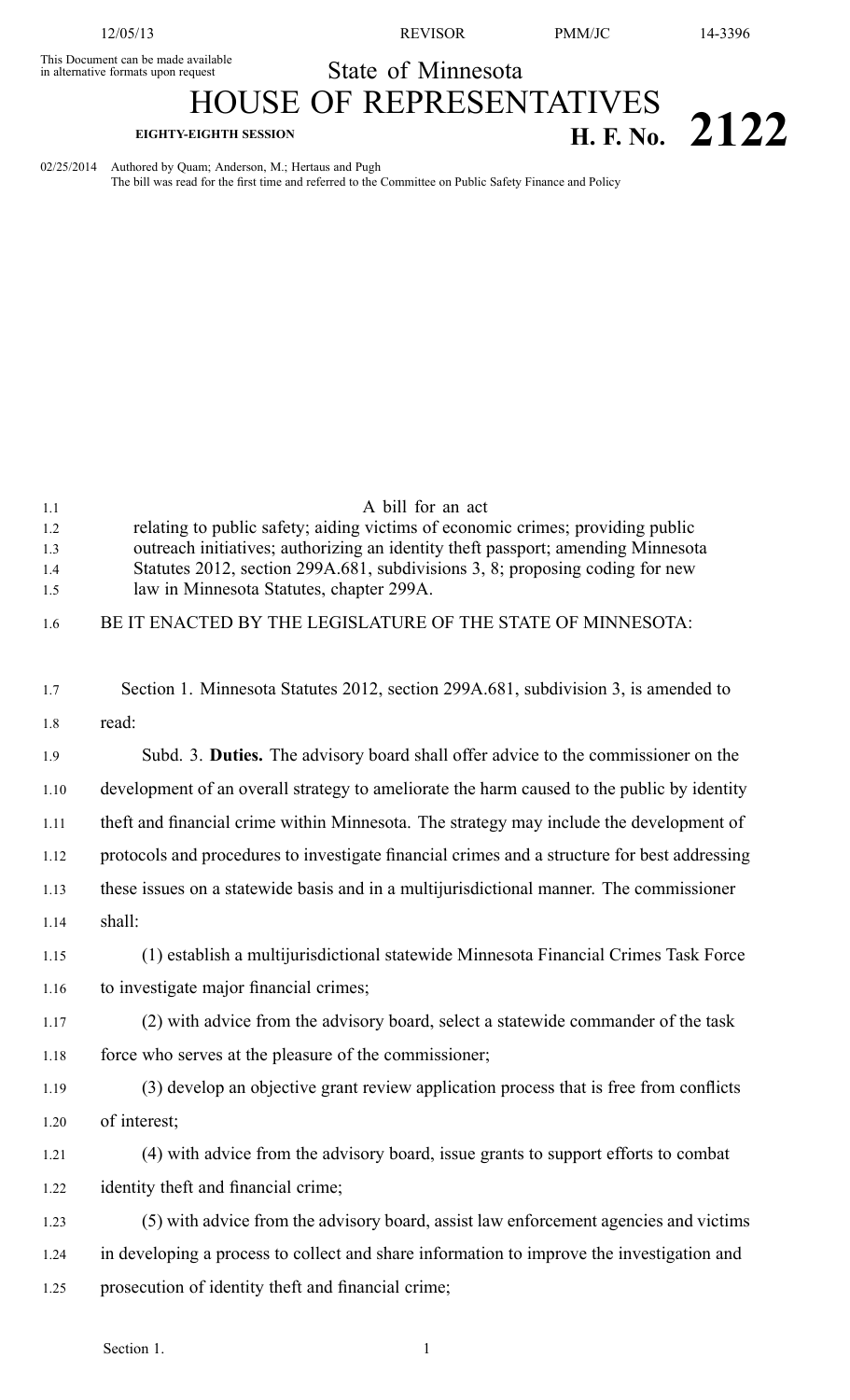12/05/13 REVISOR PMM/JC 14-3396

This Document can be made available

State of Minnesota

## HOUSE OF REPRESENTATIVES **EIGHTY-EIGHTH SESSION H. F. No. 2122** 02/25/2014 Authored by Quam; Anderson, M.; Hertaus and Pugh

The bill was read for the first time and referred to the Committee on Public Safety Finance and Policy

| 1.1  | A bill for an act                                                                            |
|------|----------------------------------------------------------------------------------------------|
| 1.2  | relating to public safety; aiding victims of economic crimes; providing public               |
| 1.3  | outreach initiatives; authorizing an identity theft passport; amending Minnesota             |
| 1.4  | Statutes 2012, section 299A.681, subdivisions 3, 8; proposing coding for new                 |
| 1.5  | law in Minnesota Statutes, chapter 299A.                                                     |
| 1.6  | BE IT ENACTED BY THE LEGISLATURE OF THE STATE OF MINNESOTA:                                  |
| 1.7  | Section 1. Minnesota Statutes 2012, section 299A.681, subdivision 3, is amended to           |
| 1.8  | read:                                                                                        |
| 1.9  | Subd. 3. Duties. The advisory board shall offer advice to the commissioner on the            |
| 1.10 | development of an overall strategy to ameliorate the harm caused to the public by identity   |
| 1.11 | theft and financial crime within Minnesota. The strategy may include the development of      |
| 1.12 | protocols and procedures to investigate financial crimes and a structure for best addressing |
| 1.13 | these issues on a statewide basis and in a multijurisdictional manner. The commissioner      |
| 1.14 | shall:                                                                                       |
| 1.15 | (1) establish a multijurisdictional statewide Minnesota Financial Crimes Task Force          |
| 1.16 | to investigate major financial crimes;                                                       |
| 1.17 | (2) with advice from the advisory board, select a statewide commander of the task            |
| 1.18 | force who serves at the pleasure of the commissioner;                                        |
| 1.19 | (3) develop an objective grant review application process that is free from conflicts        |
| 1.20 | of interest;                                                                                 |
| 1.21 | (4) with advice from the advisory board, issue grants to support efforts to combat           |
| 1.22 | identity theft and financial crime;                                                          |
| 1.23 | (5) with advice from the advisory board, assist law enforcement agencies and victims         |
| 1.24 | in developing a process to collect and share information to improve the investigation and    |
| 1.25 | prosecution of identity theft and financial crime;                                           |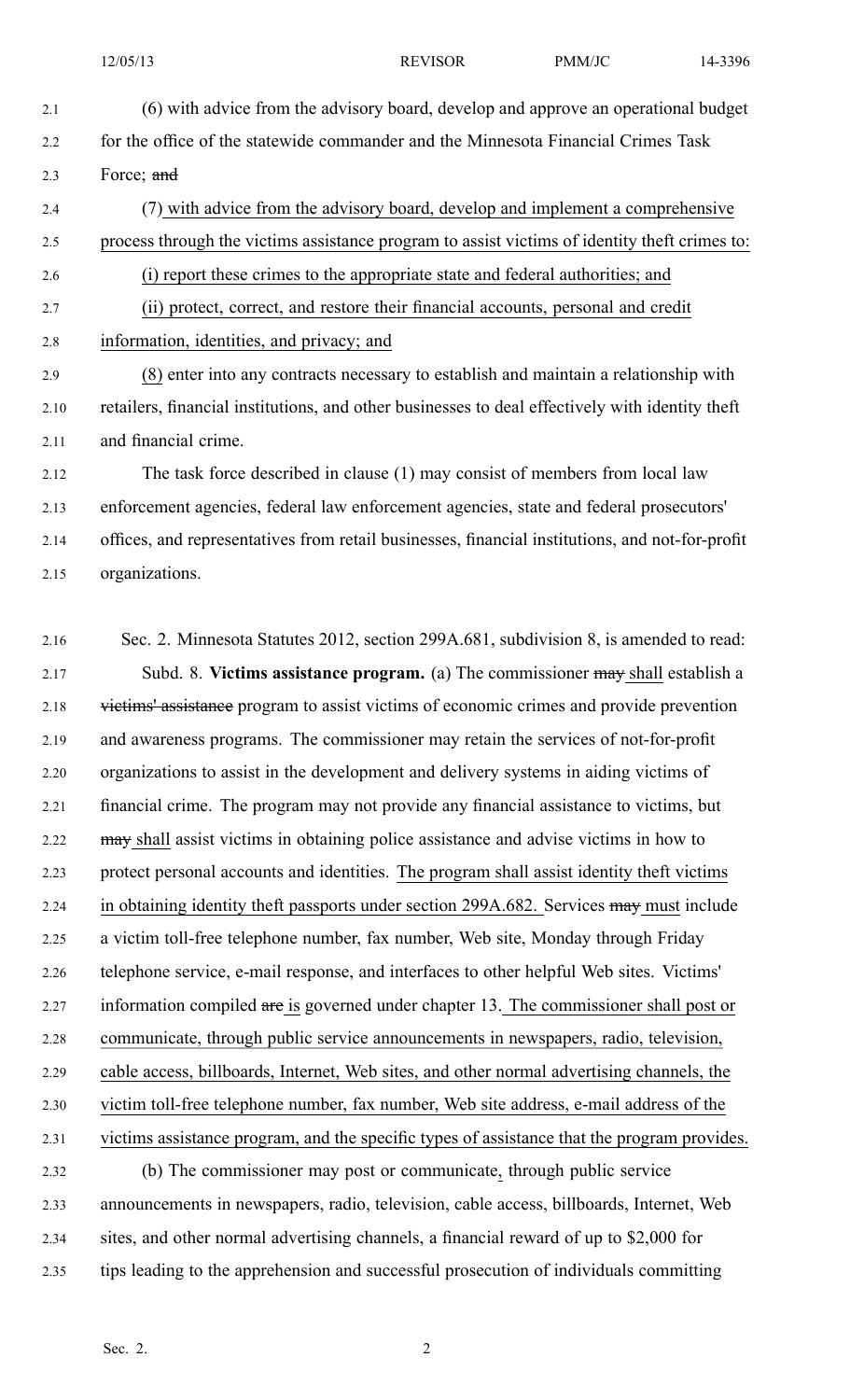2.1 (6) with advice from the advisory board, develop and approve an operational budget 2.2 for the office of the statewide commander and the Minnesota Financial Crimes Task 2.3 Force; and 2.4 (7) with advice from the advisory board, develop and implement <sup>a</sup> comprehensive 2.5 process through the victims assistance program to assist victims of identity theft crimes to: 2.6 (i) repor<sup>t</sup> these crimes to the appropriate state and federal authorities; and 2.7 (ii) protect, correct, and restore their financial accounts, personal and credit 2.8 information, identities, and privacy; and 2.9 (8) enter into any contracts necessary to establish and maintain <sup>a</sup> relationship with 2.10 retailers, financial institutions, and other businesses to deal effectively with identity theft

2.11 and financial crime. 2.12 The task force described in clause (1) may consist of members from local law 2.13 enforcement agencies, federal law enforcement agencies, state and federal prosecutors' 2.14 offices, and representatives from retail businesses, financial institutions, and not-for-profit

2.15 organizations.

2.16 Sec. 2. Minnesota Statutes 2012, section 299A.681, subdivision 8, is amended to read: 2.17 Subd. 8. **Victims assistance program.** (a) The commissioner may shall establish <sup>a</sup> 2.18 victims' assistance program to assist victims of economic crimes and provide prevention 2.19 and awareness programs. The commissioner may retain the services of not-for-profit 2.20 organizations to assist in the development and delivery systems in aiding victims of 2.21 financial crime. The program may not provide any financial assistance to victims, but 2.22 may shall assist victims in obtaining police assistance and advise victims in how to 2.23 protect personal accounts and identities. The program shall assist identity theft victims 2.24 in obtaining identity theft passports under section 299A.682. Services may must include 2.25 <sup>a</sup> victim toll-free telephone number, fax number, Web site, Monday through Friday 2.26 telephone service, e-mail response, and interfaces to other helpful Web sites. Victims' 2.27 information compiled are is governed under chapter 13. The commissioner shall post or 2.28 communicate, through public service announcements in newspapers, radio, television, 2.29 cable access, billboards, Internet, Web sites, and other normal advertising channels, the 2.30 victim toll-free telephone number, fax number, Web site address, e-mail address of the 2.31 victims assistance program, and the specific types of assistance that the program provides. 2.32 (b) The commissioner may pos<sup>t</sup> or communicate, through public service 2.33 announcements in newspapers, radio, television, cable access, billboards, Internet, Web

- 2.34 sites, and other normal advertising channels, <sup>a</sup> financial reward of up to \$2,000 for
- 2.35 tips leading to the apprehension and successful prosecution of individuals committing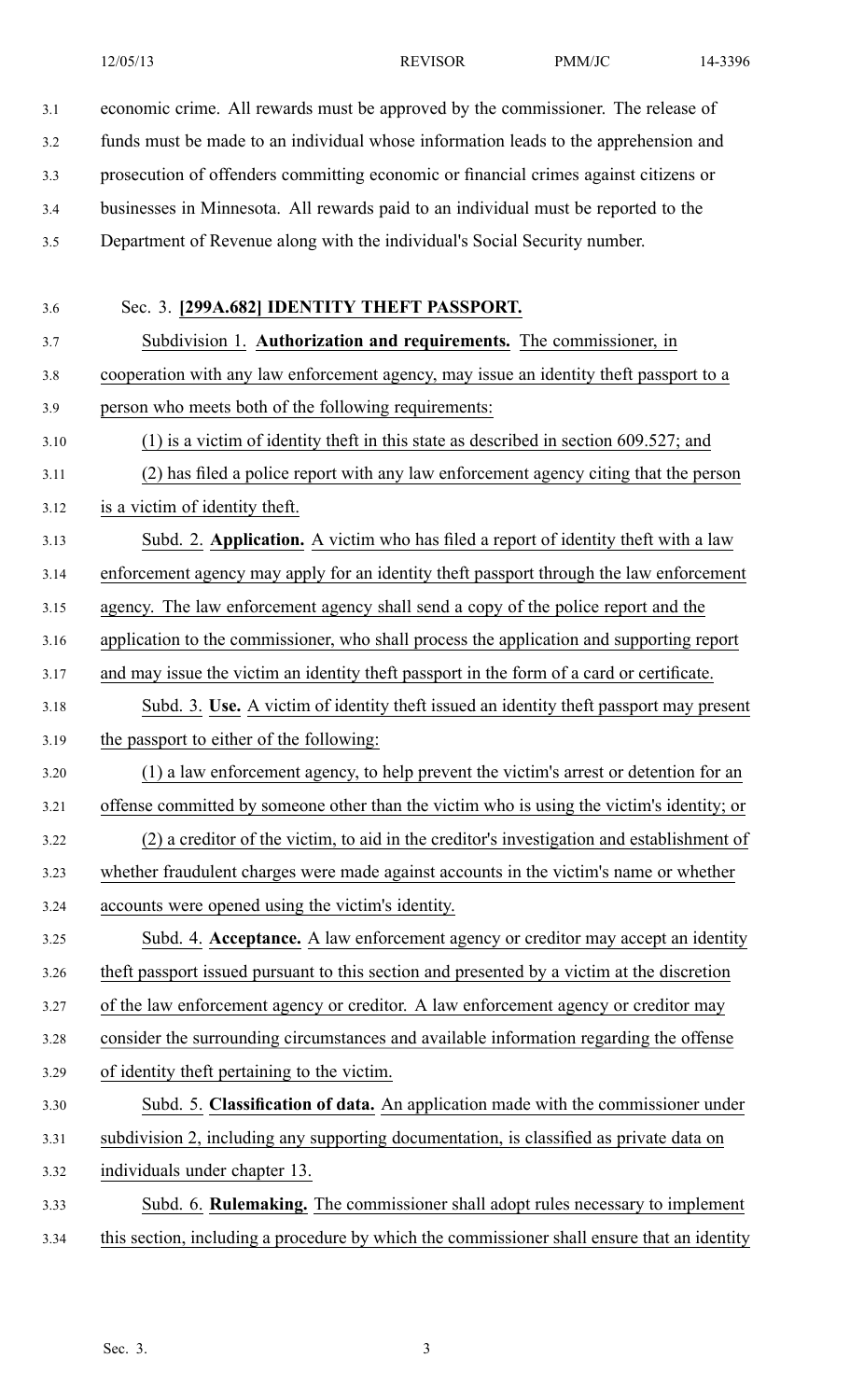3.1 economic crime. All rewards must be approved by the commissioner. The release of

3.2 funds must be made to an individual whose information leads to the apprehension and

3.3 prosecution of offenders committing economic or financial crimes against citizens or

3.4 businesses in Minnesota. All rewards paid to an individual must be reported to the

3.5 Department of Revenue along with the individual's Social Security number.

3.6 Sec. 3. **[299A.682] IDENTITY THEFT PASSPORT.**

3.7 Subdivision 1. **Authorization and requirements.** The commissioner, in 3.8 cooperation with any law enforcement agency, may issue an identity theft passpor<sup>t</sup> to <sup>a</sup> 3.9 person who meets both of the following requirements:

3.10 (1) is <sup>a</sup> victim of identity theft in this state as described in section 609.527; and 3.11 (2) has filed <sup>a</sup> police repor<sup>t</sup> with any law enforcement agency citing that the person

3.12 is <sup>a</sup> victim of identity theft.

3.13 Subd. 2. **Application.** A victim who has filed <sup>a</sup> repor<sup>t</sup> of identity theft with <sup>a</sup> law

3.14 enforcement agency may apply for an identity theft passpor<sup>t</sup> through the law enforcement

3.15 agency. The law enforcement agency shall send <sup>a</sup> copy of the police repor<sup>t</sup> and the

3.16 application to the commissioner, who shall process the application and supporting repor<sup>t</sup>

3.17 and may issue the victim an identity theft passpor<sup>t</sup> in the form of <sup>a</sup> card or certificate.

3.18 Subd. 3. **Use.** A victim of identity theft issued an identity theft passpor<sup>t</sup> may presen<sup>t</sup> 3.19 the passpor<sup>t</sup> to either of the following:

3.20 (1) <sup>a</sup> law enforcement agency, to help preven<sup>t</sup> the victim's arrest or detention for an 3.21 offense committed by someone other than the victim who is using the victim's identity; or 3.22 (2) <sup>a</sup> creditor of the victim, to aid in the creditor's investigation and establishment of 3.23 whether fraudulent charges were made against accounts in the victim's name or whether

3.24 accounts were opened using the victim's identity.

3.25 Subd. 4. **Acceptance.** A law enforcement agency or creditor may accep<sup>t</sup> an identity 3.26 theft passpor<sup>t</sup> issued pursuan<sup>t</sup> to this section and presented by <sup>a</sup> victim at the discretion

3.27 of the law enforcement agency or creditor. A law enforcement agency or creditor may

3.28 consider the surrounding circumstances and available information regarding the offense

3.29 of identity theft pertaining to the victim.

3.30 Subd. 5. **Classification of data.** An application made with the commissioner under 3.31 subdivision 2, including any supporting documentation, is classified as private data on 3.32 individuals under chapter 13.

3.33 Subd. 6. **Rulemaking.** The commissioner shall adopt rules necessary to implement 3.34 this section, including <sup>a</sup> procedure by which the commissioner shall ensure that an identity